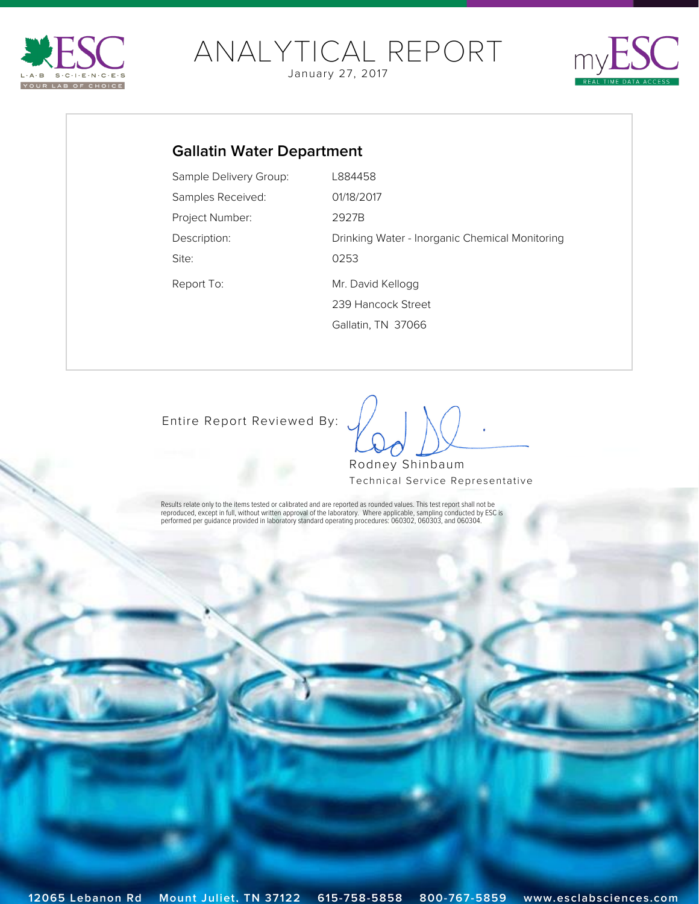<span id="page-0-0"></span>

# [ANALY](http://www.esclabsciences.com)TICAL REPORT

January 27, 2017



### **Gallatin Water Department**

| Sample Delivery Group: | L884458                                        |
|------------------------|------------------------------------------------|
| Samples Received:      | 01/18/2017                                     |
| Project Number:        | 2927B                                          |
| Description:           | Drinking Water - Inorganic Chemical Monitoring |
| Site:                  | 0253                                           |
| Report To:             | Mr. David Kellogg                              |
|                        | 239 Hancock Street                             |
|                        | Gallatin, TN 37066                             |

[Entire Report Reviewed By:](mailto:rshinbaum@esclabsciences.com?subject=ESC Lab Sciences SDG: L884458&body=Email regarding SDG: L884458)

 $\int$ 

Rodney Shinbaum Technical Service Representative

Results relate only to the items tested or calibrated and are reported as rounded values. This test report shall not be<br>reproduced, except in full, without written approval of the laboratory. Where applicable, sampling con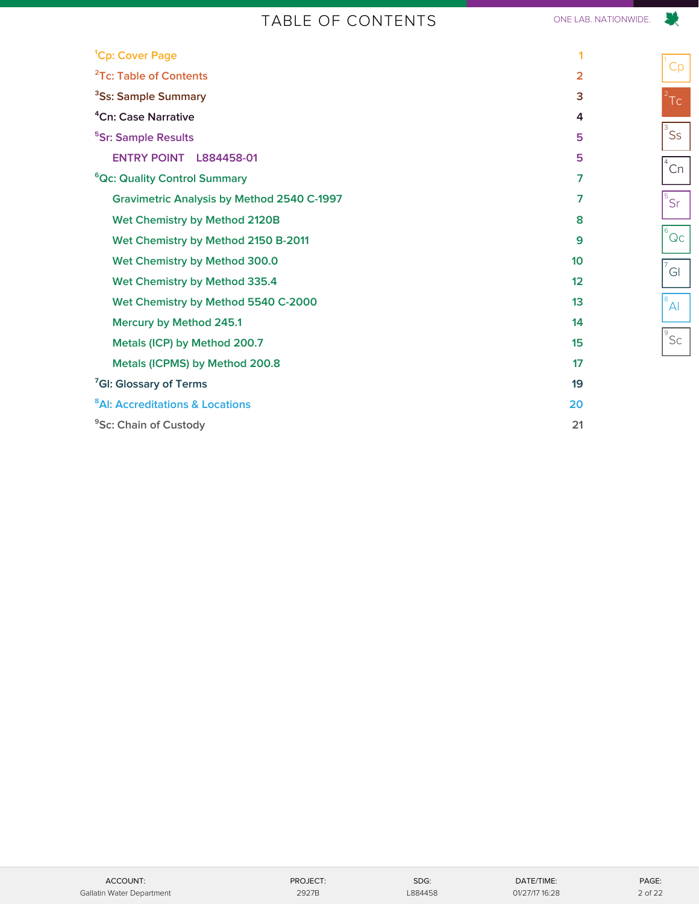### TABLE OF CONTENTS ONE LAB. NATIONWIDE.

|                | ╲                                              |
|----------------|------------------------------------------------|
| 1              | $\int_{0}^{\pi}$ Cp                            |
| 2              |                                                |
| 3              | $2$ Tc                                         |
| 4              |                                                |
| 5              | $\overline{\overline{\overline{3}}}$ Ss        |
| 5              | $\sqrt[4]{2}$ Cn                               |
| $\overline{7}$ |                                                |
| $\overline{7}$ | $5\overline{S}$                                |
| 8              |                                                |
| 9              | $\overline{6}$ Qc                              |
| 10             |                                                |
| 12             | $\sigma$ <sup>7</sup> GI                       |
| 13             | $\overline{\mathbb{P}}_{\mathsf{A}\mathsf{I}}$ |
| 14             |                                                |
| 15             | $\overline{\frac{9}{5}}$ Sc                    |
| 17             |                                                |
| 19             |                                                |
| 20             |                                                |

**<sup>9</sup>Sc: Chain of Custody 21** 

<sup>7</sup>GI: Glossary of Terms

<span id="page-1-0"></span><sup>1</sup>Cp: Cover Page

**[²Tc: Table of Contents 2](#page-1-0) [³Ss: Sample Summary 3](#page-2-0)** <sup>4</sup>Cn: Case Narrative **[⁵Sr: Sample Results 5](#page-4-0)**

**ENTRY POINT L884458-01** 

**Wet Chemistry by Method 2120B** 

**Wet Chemistry by Method 300.0 Wet Chemistry by Method 335.4** 

**Mercury by Method 245.1** 

**[⁸Al: Accreditations & Locations 20](#page-19-0)**

**Metals (ICP) by Method 200.7 Metals (ICPMS) by Method 200.8** 

Wet Chemistry by Method 2150 B-2011

Wet Chemistry by Method 5540 C-2000

**Gravimetric Analysis by Method 2540 C-1997** 

<sup>6</sup>Qc: Quality Control Summary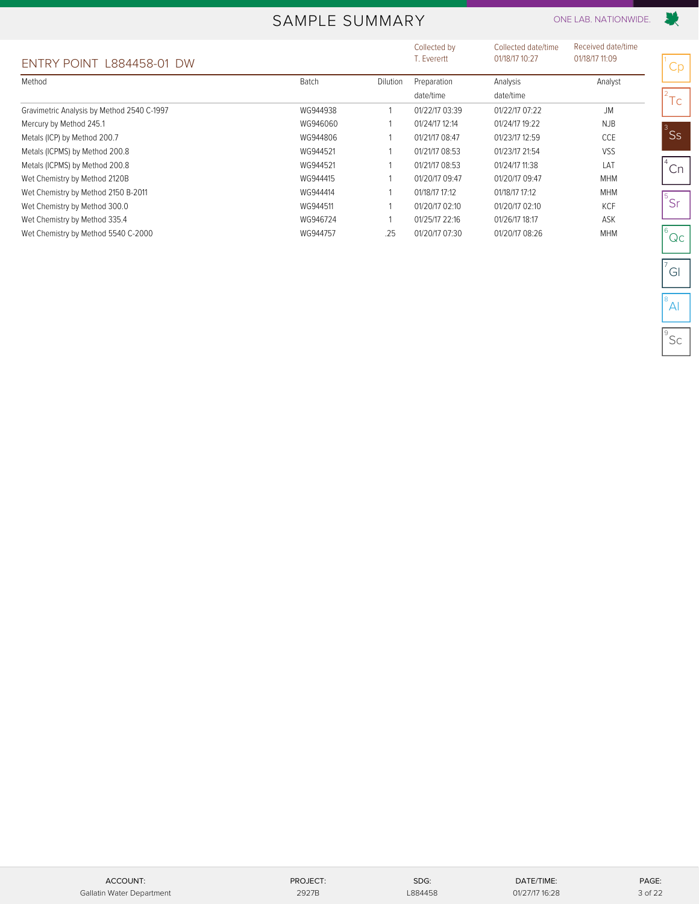### SAMPLE SUMMARY ONE LAB. NATIONWIDE.

<span id="page-2-0"></span>

|                                            |              |          | Collected by   | Collected date/time | Received date/time |               |
|--------------------------------------------|--------------|----------|----------------|---------------------|--------------------|---------------|
| ENTRY POINT L884458-01 DW                  |              |          | T. Everertt    | 01/18/17 10:27      | 01/18/17 11:09     | Cr            |
| Method                                     | <b>Batch</b> | Dilution | Preparation    | Analysis            | Analyst            |               |
|                                            |              |          | date/time      | date/time           |                    | $\mathsf{Tc}$ |
| Gravimetric Analysis by Method 2540 C-1997 | WG944938     |          | 01/22/17 03:39 | 01/22/17 07:22      | <b>JM</b>          |               |
| Mercury by Method 245.1                    | WG946060     |          | 01/24/17 12:14 | 01/24/17 19:22      | <b>NJB</b>         |               |
| Metals (ICP) by Method 200.7               | WG944806     |          | 01/21/17 08:47 | 01/23/17 12:59      | CCE                | ٔ Ss          |
| Metals (ICPMS) by Method 200.8             | WG944521     |          | 01/21/17 08:53 | 01/23/17 21:54      | VSS                |               |
| Metals (ICPMS) by Method 200.8             | WG944521     |          | 01/21/17 08:53 | 01/24/17 11:38      | LAT                | Cr            |
| Wet Chemistry by Method 2120B              | WG944415     |          | 01/20/17 09:47 | 01/20/17 09:47      | <b>MHM</b>         |               |
| Wet Chemistry by Method 2150 B-2011        | WG944414     |          | 01/18/17 17:12 | 01/18/17 17:12      | <b>MHM</b>         |               |
| Wet Chemistry by Method 300.0              | WG944511     |          | 01/20/17 02:10 | 01/20/17 02:10      | KCF                | $^{15}$ Sr    |
| Wet Chemistry by Method 335.4              | WG946724     |          | 01/25/17 22:16 | 01/26/17 18:17      | ASK                |               |
| Wet Chemistry by Method 5540 C-2000        | WG944757     | .25      | 01/20/17 07:30 | 01/20/17 08:26      | <b>MHM</b>         | $\Omega$      |

Cp

联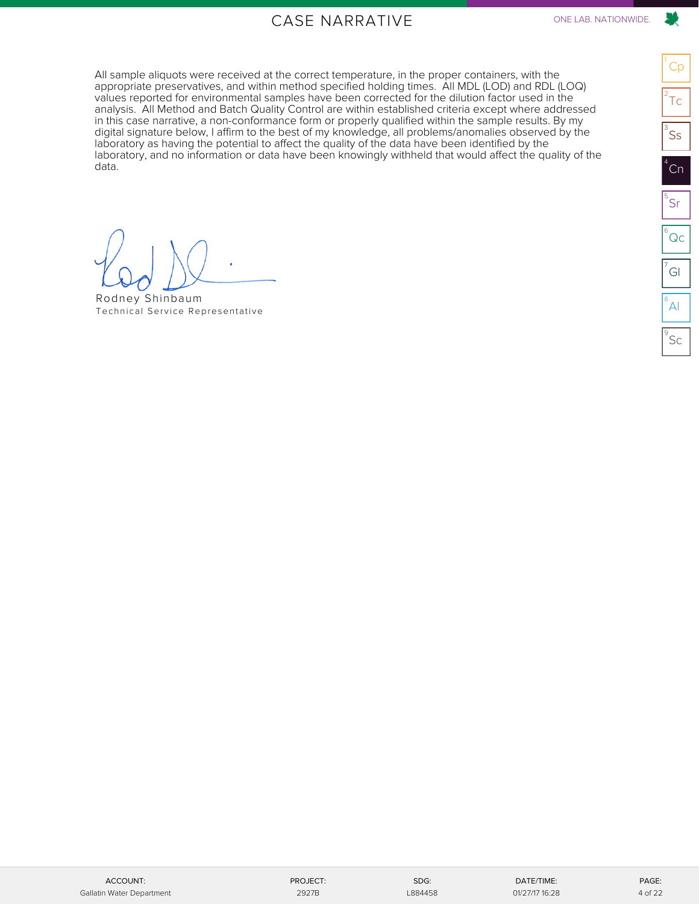### CASE NARRATIVE ONE LAB. NATIONWIDE.

<span id="page-3-0"></span>All sample aliquots were received at the correct temperature, in the proper containers, with the appropriate preservatives, and within method specified holding times. All MDL (LOD) and RDL (LOQ) values reported for environmental samples have been corrected for the dilution factor used in the analysis. All Method and Batch Quality Control are within established criteria except where addressed in this case narrative, a non-conformance form or properly qualified within the sample results. By my digital signature below, I affirm to the best of my knowledge, all problems/anomalies observed by the laboratory as having the potential to affect the quality of the data have been identified by the laboratory, and no information or data have been knowingly withheld that would affect the quality of the data.

**[Preliminary Report]**

Rodney Shinbaum [Technical Service Representative](mailto:rshinbaum@esclabsciences.com?subject=ESC Lab Sciences SDG: L884458&body=Email regarding SDG: L884458)

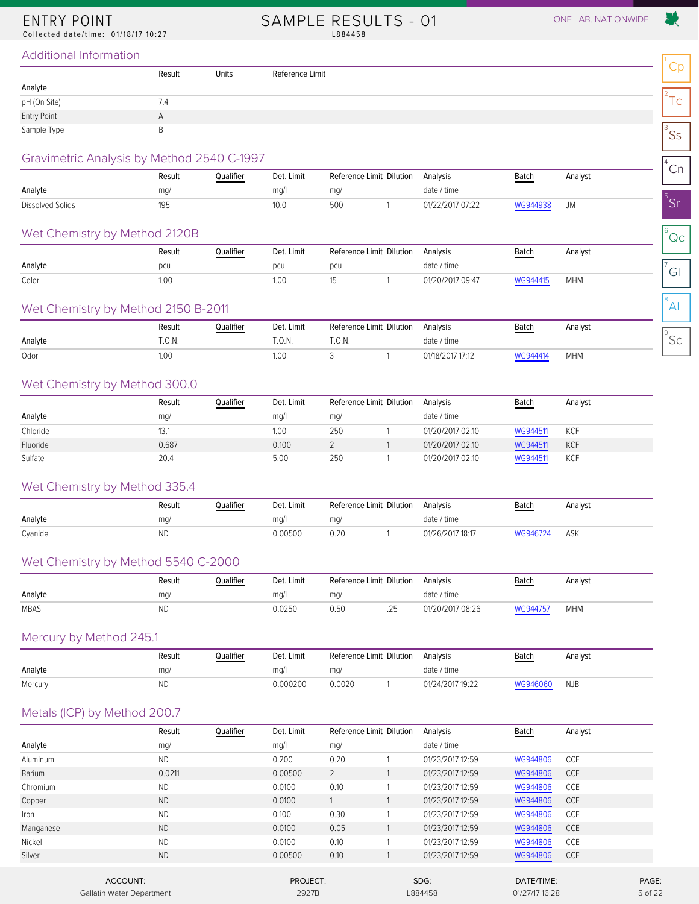### <span id="page-4-1"></span><span id="page-4-0"></span>ENTRY POINT

Collected date/time: 01/18/17 10:27

SAMPLE RESULTS - 01 ONE LAB. NATIONWIDE. L884458

 $^8$ Al

#### Additional Information

|              |              |       |                 | $\cap$      |
|--------------|--------------|-------|-----------------|-------------|
|              | Result       | Units | Reference Limit | ◡◡          |
| Analyte      |              |       |                 |             |
| pH (On Site) | 7.4          |       |                 | $\sim$<br>╰ |
| Entry Point  | $\mathsf{A}$ |       |                 |             |
| Sample Type  |              |       |                 | <b>Ss</b>   |

#### Gravimetric Analysis by Method 2540 C-1997

| Ordvillettic Arigiyals by Metricu 2040 C-1997 |        |           |            |      |                          |                  |          |         | $\cap$   |
|-----------------------------------------------|--------|-----------|------------|------|--------------------------|------------------|----------|---------|----------|
|                                               | Result | Qualifier | Det. Limit |      | Reference Limit Dilution | Analysis         | Batch    | Analyst | $\cup$ : |
| Analyte                                       | mq/    |           | ma/l       | mq/1 |                          | date / time      |          |         |          |
| Dissolved Solids                              | 195    |           | 10.0       | 500  |                          | 01/22/2017 07:22 | WG944938 |         |          |

#### Wet Chemistry by Method 2120B

| Wet Chemistry by Method 2120B |        |           |            |     |                                   |                  |          |            | Qc     |
|-------------------------------|--------|-----------|------------|-----|-----------------------------------|------------------|----------|------------|--------|
|                               | Result | Qualifier | Det. Limit |     | Reference Limit Dilution Analysis |                  | Batch    | Analyst    |        |
| Analyte                       | pcu    |           | pcu        | pcu |                                   | date / time      |          |            | $\sim$ |
| Color                         | 1.00   |           | .00        |     |                                   | 01/20/2017 09:47 | WG944415 | <b>MHM</b> | וכ     |

#### Wet Chemistry by Method 2150 B-2011

|         | Result | Qualifier | Det. Limit        | Reference Limit Dilution | Analysis       | <b>Batch</b> | Analyst    |   |
|---------|--------|-----------|-------------------|--------------------------|----------------|--------------|------------|---|
| Analyte | .0.8.  |           | $. \cup . \cup .$ | .U.IV.                   | date<br>/ time |              |            | ー |
| Odor    | 1.00   |           | 1.00              |                          |                |              | <b>MHM</b> |   |

#### Wet Chemistry by Method 300.0

|          | Result | Qualifier | Det. Limit | Reference Limit Dilution | Analysis         | <b>Batch</b> | Analyst    |
|----------|--------|-----------|------------|--------------------------|------------------|--------------|------------|
| Analyte  | mq/l   |           | mq/1       | mg/l                     | date / time      |              |            |
| Chloride | 13.1   |           | 1.00       | 250                      | 01/20/2017 02:10 | WG944511     | <b>KCF</b> |
| Fluoride | 0.687  |           | 0.100      |                          | 01/20/2017 02:10 | WG944511     | <b>KCF</b> |
| Sulfate  | 20.4   |           | 5.00       | 250                      | 01/20/2017 02:10 | WG944511     | <b>KCF</b> |

#### Wet Chemistry by Method 335.4

|         | Result | Qualifier | Det. Limit | Reference Limit Dilution | Analysis         | <u>Batch</u> | Analyst |
|---------|--------|-----------|------------|--------------------------|------------------|--------------|---------|
| Analyte | ma/    |           | ma/        | ma/l                     | date / time      |              |         |
| Cyanide | ND     |           | 0.00500    | 0.20                     | 01/26/2017 18:17 | WG946724     | ASK     |

#### Wet Chemistry by Method 5540 C-2000

|             | Result | Qualifier<br>_______ | Det. Limit | Reference Limit Dilution |       | Analysis         | <b>Batch</b> | Analyst    |
|-------------|--------|----------------------|------------|--------------------------|-------|------------------|--------------|------------|
| Analyte     | ma/    |                      | ma/        | mq/l                     |       | date / time      |              |            |
| <b>MBAS</b> | ND     |                      | 0.0250     | ა.50                     | ل ہے. | 01/20/2017 08:26 | WG944757     | <b>MHM</b> |

#### Mercury by Method 245.1

|         | Result | Qualifier | Det. Limit | Reference Limit Dilution Analysis |                  | <b>Batch</b> | Analyst    |
|---------|--------|-----------|------------|-----------------------------------|------------------|--------------|------------|
| Analyte | ma/l   |           | ma/l       | ma/l                              | date / time      |              |            |
| Mercury |        |           | 0.000200   | 0.0020                            | 01/24/2017 19:22 | WG946060     | <b>NJB</b> |

#### Metals (ICP) by Method 200.7

|           | Result    | Qualifier | Det. Limit |      | Reference Limit Dilution | Analysis         | Batch      | Analyst    |       |
|-----------|-----------|-----------|------------|------|--------------------------|------------------|------------|------------|-------|
| Analyte   | mg/l      |           | mg/l       | mg/l |                          | date / time      |            |            |       |
| Aluminum  | <b>ND</b> |           | 0.200      | 0.20 |                          | 01/23/2017 12:59 | WG944806   | <b>CCE</b> |       |
| Barium    | 0.0211    |           | 0.00500    | 2    |                          | 01/23/2017 12:59 | WG944806   | <b>CCE</b> |       |
| Chromium  | <b>ND</b> |           | 0.0100     | 0.10 |                          | 01/23/2017 12:59 | WG944806   | CCE        |       |
| Copper    | <b>ND</b> |           | 0.0100     |      |                          | 01/23/2017 12:59 | WG944806   | <b>CCE</b> |       |
| Iron      | <b>ND</b> |           | 0.100      | 0.30 |                          | 01/23/2017 12:59 | WG944806   | <b>CCE</b> |       |
| Manganese | <b>ND</b> |           | 0.0100     | 0.05 |                          | 01/23/2017 12:59 | WG944806   | <b>CCE</b> |       |
| Nickel    | <b>ND</b> |           | 0.0100     | 0.10 |                          | 01/23/2017 12:59 | WG944806   | <b>CCE</b> |       |
| Silver    | <b>ND</b> |           | 0.00500    | 0.10 |                          | 01/23/2017 12:59 | WG944806   | <b>CCE</b> |       |
|           | ACCOUNT:  |           | PROJECT:   |      |                          | SDG:             | DATE/TIME: |            | PAGE: |

Gallatin Water Department 2927B 2927B L884458 01/27/17 16:28 5 of 22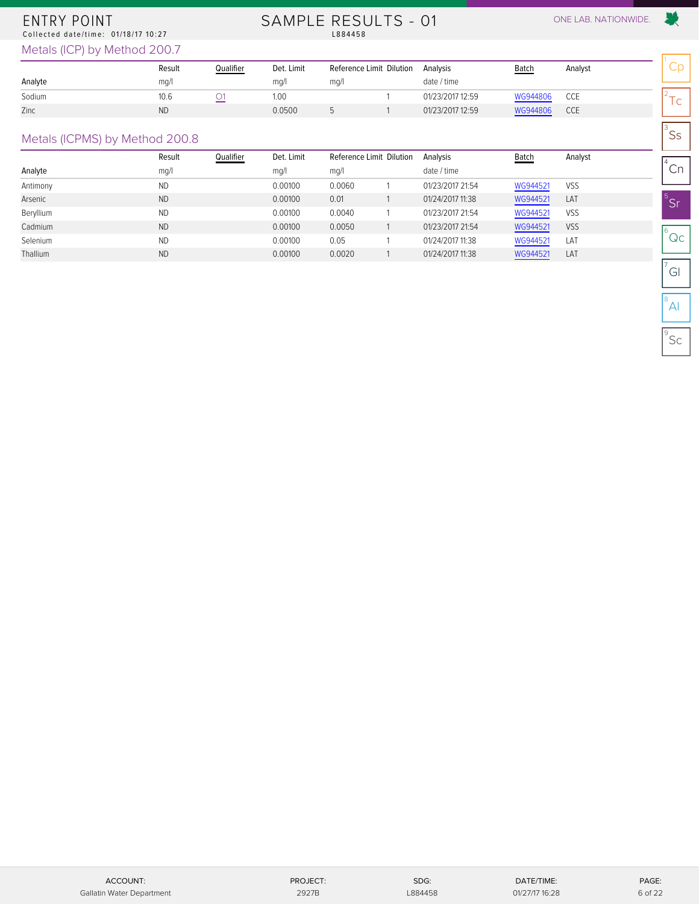#### ENTRY POINT Collected date/time: 01/18/17 10:27

# SAMPLE RESULTS - 01 ONE LAB. NATIONWIDE.<br>L884458

爱

 $\mathsf{^{3}SS}$ 

Metals (ICP) by Method 200.7

|         | Result | Qualifier | Det. Limit | Reference Limit Dilution | Analysis         | <b>Batch</b> | Analyst |   |
|---------|--------|-----------|------------|--------------------------|------------------|--------------|---------|---|
| Analyte | mq/l   |           | ma/l       | mq/                      | date / time      |              |         |   |
| Sodium  | 10.6   | _         | 1.00       |                          | 01/23/2017 12:59 | WG944806     | CCE     | - |
| Zinc    | ΝD     |           | 0.0500     |                          | 01/23/2017 12:59 | WG944806     | CCE     | ∼ |

#### Metals (ICPMS) by Method 200.8

| mg/l      |        | mq/l      | mg/l       | date / time              |          |            | Cn      |
|-----------|--------|-----------|------------|--------------------------|----------|------------|---------|
| <b>ND</b> |        | 0.00100   | 0.0060     | 01/23/2017 21:54         | WG944521 | VSS        |         |
| <b>ND</b> |        | 0.00100   | 0.01       | 01/24/2017 11:38         | WG944521 | LAT        | 'Sı     |
| <b>ND</b> |        | 0.00100   | 0.0040     | 01/23/2017 21:54         | WG944521 | <b>VSS</b> |         |
| <b>ND</b> |        | 0.00100   | 0.0050     | 01/23/2017 21:54         | WG944521 | VSS        |         |
| <b>ND</b> |        | 0.00100   | 0.05       | 01/24/2017 11:38         | WG944521 | LAT        | Qc      |
| <b>ND</b> |        | 0.00100   | 0.0020     | 01/24/2017 11:38         | WG944521 | LAT        |         |
|           | Result | Qualifier | Det. Limit | Reference Limit Dilution | Analysis | Batch      | Analyst |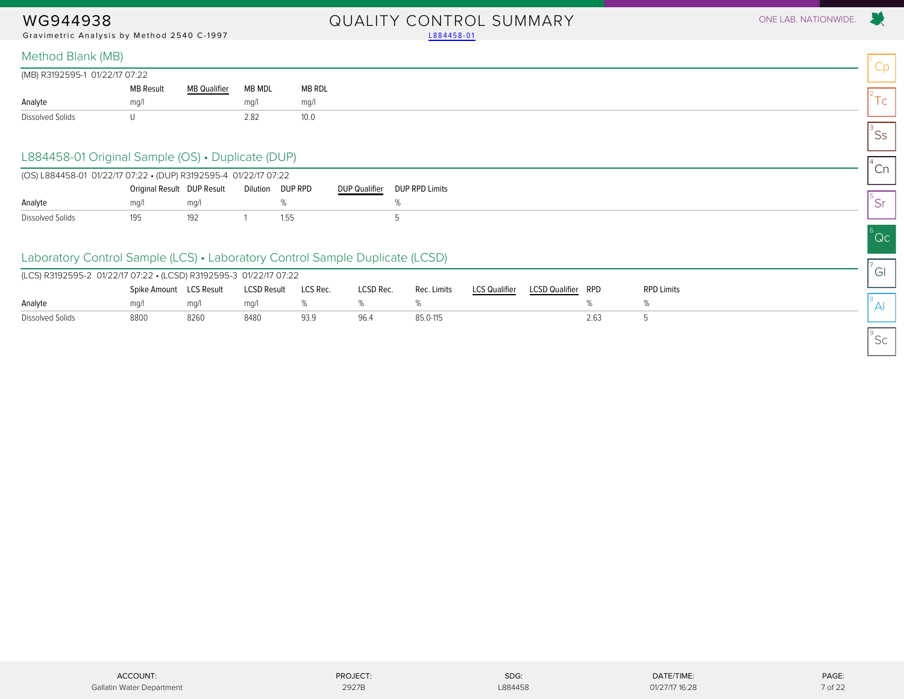Gravimetric Analysis by Method 2540 C-1997 Land Communication Communication (1884458-01

## WG944938 QUALITY CONTROL SUMMARY ONE LAB. NATIONWIDE.

#### Method Blank (MB)

| (MB) R3192595-1 01/22/17 07:22 |                  |                                |        |        |  |  |  |
|--------------------------------|------------------|--------------------------------|--------|--------|--|--|--|
|                                | <b>MB Result</b> | <b>MB Qualifier</b><br>_______ | MB MDL | MB RDL |  |  |  |
| Analyte                        | mq/              |                                | ma/l   | mq/1   |  |  |  |
| Dissolved Solids               |                  |                                | 2.82   | 10.0   |  |  |  |

#### L884458-01 Original Sample (OS) • Duplicate (DUP)

<span id="page-6-0"></span>

|                  | (OS) L884458-01 01/22/17 07:22 • (DUP) R3192595-4 01/22/17 07:22 |     |  |                  |                      |                       |  |  |  |
|------------------|------------------------------------------------------------------|-----|--|------------------|----------------------|-----------------------|--|--|--|
|                  | Original Result DUP Result                                       |     |  | Dilution DUP RPD | <b>DUP Qualifier</b> | <b>DUP RPD Limits</b> |  |  |  |
| Analyte          | ma/                                                              | ma/ |  |                  |                      |                       |  |  |  |
| Dissolved Solids | 195                                                              |     |  | 1.55             |                      |                       |  |  |  |

#### Laboratory Control Sample (LCS) • Laboratory Control Sample Duplicate (LCSD)

| (LCS) R3192595-2 01/22/17 07:22 • (LCSD) R3192595-3 01/22/17 07:22 |                         |      |                    |          |           |             |                      |                       |            |                   |
|--------------------------------------------------------------------|-------------------------|------|--------------------|----------|-----------|-------------|----------------------|-----------------------|------------|-------------------|
|                                                                    | Spike Amount LCS Result |      | <b>LCSD Result</b> | LCS Rec. | LCSD Rec. | Rec. Limits | <b>LCS Qualifier</b> | <b>LCSD Qualifier</b> | <b>RPD</b> | <b>RPD Limits</b> |
| Analyte                                                            | mq/1                    | ma/l | ma/l               |          |           |             |                      |                       |            |                   |
| Dissolved Solids                                                   | 8800                    | 8260 | 8480               | 93.9     | 96.4      | 85.0-115    |                      |                       | 2.63       |                   |

01/27/17 16:28

 $^8$ Al

 $^{\circ}$ Sc

Cp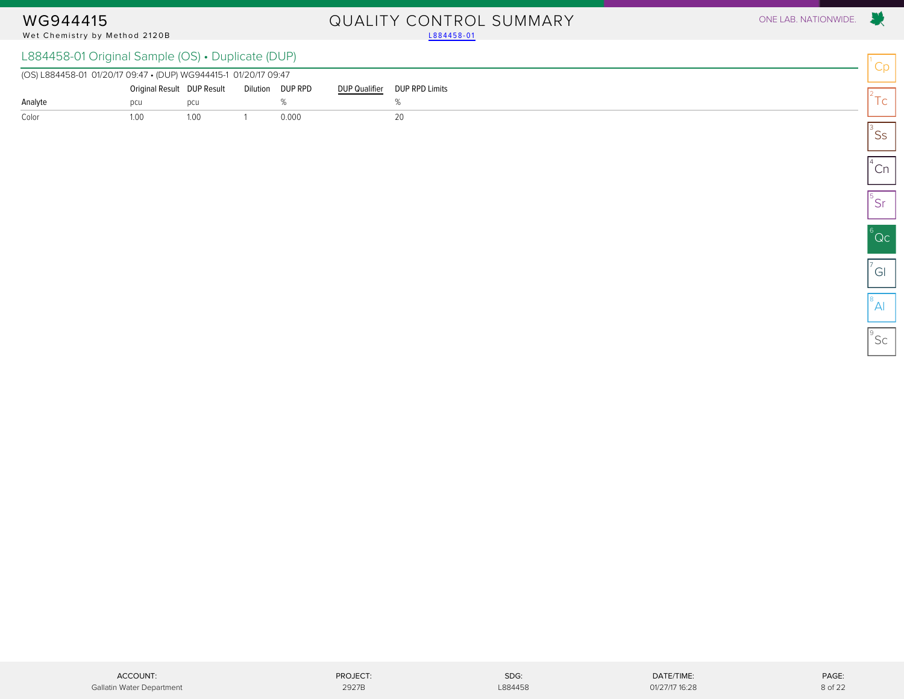# Wet Chemistry by Method 2120B

# WG944415 QUALITY CONTROL SUMMARY ONE LAB. NATIONWIDE.

### L884458-01 Original Sample (OS) • Duplicate (DUP)

<span id="page-7-0"></span>

| (OS) L884458-01 01/20/17 09:47 • (DUP) WG944415-1 01/20/17 09:47 |                                             |      |  |       |  |                               |  |  |  |  |
|------------------------------------------------------------------|---------------------------------------------|------|--|-------|--|-------------------------------|--|--|--|--|
|                                                                  | Original Result DUP Result Dilution DUP RPD |      |  |       |  | DUP Qualifier  DUP RPD Limits |  |  |  |  |
| Analyte                                                          |                                             |      |  |       |  |                               |  |  |  |  |
| Color                                                            | 1.00                                        | 1.00 |  | 0.000 |  |                               |  |  |  |  |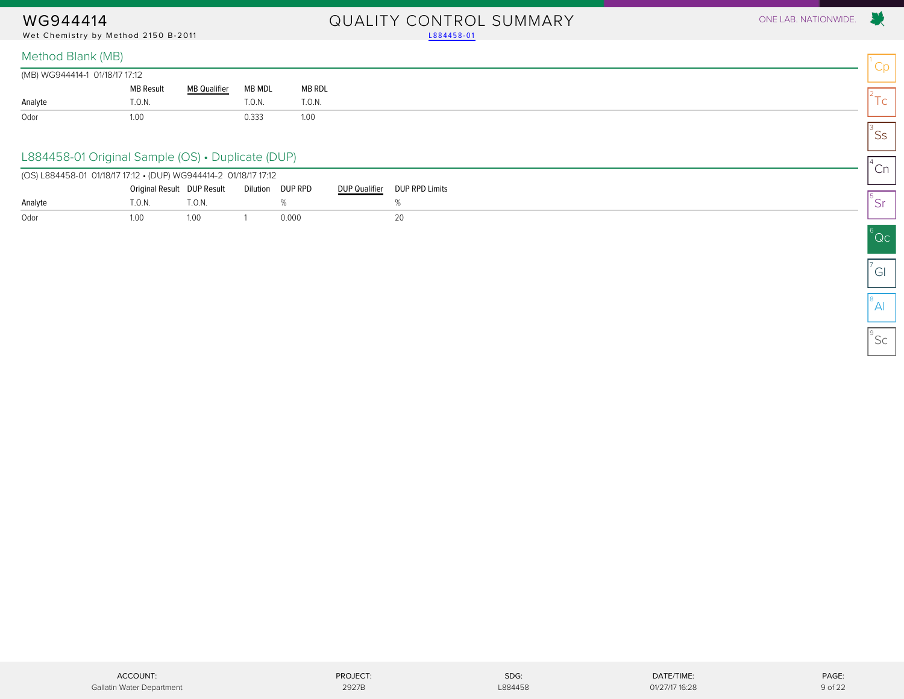Wet Chemistry by Method 2150 B-2011

# WG944414 OUALITY CONTROL SUMMARY ONE LAB. NATIONWIDE.<br>Wet Chemistry by Method 2150 B-2011 2150 Prices and the Chemistry by Method 2150 B-2011

|         | (MB) WG944414-1 01/18/17 17:12 |                     |        |        |  |  |  |
|---------|--------------------------------|---------------------|--------|--------|--|--|--|
|         | <b>MB Result</b>               | <b>MB Qualifier</b> | MB MDL | MB RDL |  |  |  |
| Analyte | T.0.N.                         |                     | T.0.N. | T.0.N. |  |  |  |
| Odor    | l.O(                           |                     | 0.333  | 1.00   |  |  |  |

#### L884458-01 Original Sample (OS) • Duplicate (DUP)

<span id="page-8-0"></span>

|         | (OS) L884458-01 01/18/17 17:12 • (DUP) WG944414-2 01/18/17 17:12 |        |  |                  |               |                |  |  |  |
|---------|------------------------------------------------------------------|--------|--|------------------|---------------|----------------|--|--|--|
|         | Original Result DUP Result                                       |        |  | Dilution DUP RPD | DUP Qualifier | DUP RPD Limits |  |  |  |
| Analyte | .0.8                                                             | ".O.N. |  |                  |               |                |  |  |  |
| Odor    | 00.1                                                             | 1.00   |  | 0.000            |               |                |  |  |  |

X.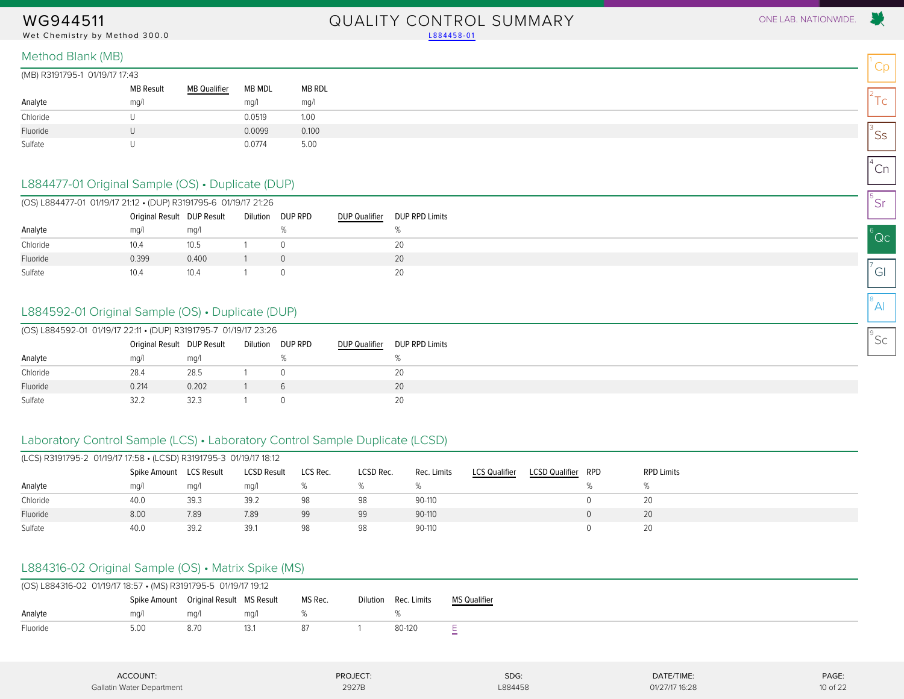#### Wet Chemistry by Method 300.0 Land and the control of the control of the control of the control of the control of the control of the control of the control of the control of the control of the control of the control of the

## WG944511 QUALITY CONTROL SUMMARY ONE LAB. NATIONWIDE.

 $^1$ Cp

 $2^2$ Tc

 $\mathsf{^{3}SS}$ 

 $^{4}$ Cn

5 Sr

 $^6$ Qc

 $\sigma$ <sup>7</sup>Gl

 $^8$ Al

 $^{\circ}$ Sc

Method Blank (MB)

| (MB) R3191795-1 01/19/17 17:43 |  |
|--------------------------------|--|
|                                |  |

| יטד. <i>ווי וויט</i> וויט ויטכוט ויטור <i>ו</i> שווו |                  |                     |        |        |
|------------------------------------------------------|------------------|---------------------|--------|--------|
|                                                      | <b>MB Result</b> | <b>MB Qualifier</b> | MB MDL | MB RDL |
| Analyte                                              | mg/l             |                     | mq/l   | mq/1   |
| Chloride                                             |                  |                     | 0.0519 | 1.00   |
| Fluoride                                             |                  |                     | 0.0099 | 0.100  |
| Sulfate                                              |                  |                     | 0.0774 | 5.00   |

#### L884477-01 Original Sample (OS) • Duplicate (DUP)

<span id="page-9-0"></span>

|          | (OS) L884477-01 01/19/17 21:12 • (DUP) R3191795-6 01/19/17 21:26 |       |  |                  |               |                |  |  |  |  |  |
|----------|------------------------------------------------------------------|-------|--|------------------|---------------|----------------|--|--|--|--|--|
|          | Original Result DUP Result                                       |       |  | Dilution DUP RPD | DUP Qualifier | DUP RPD Limits |  |  |  |  |  |
| Analyte  | ma/1                                                             | mq/1  |  |                  |               |                |  |  |  |  |  |
| Chloride | 10.4                                                             | 10.5  |  |                  |               | 20             |  |  |  |  |  |
| Fluoride | 0.399                                                            | 0.400 |  |                  |               | 20             |  |  |  |  |  |
| Sulfate  | 10.4                                                             | 10.4  |  |                  |               | 20             |  |  |  |  |  |

#### L884592-01 Original Sample (OS) • Duplicate (DUP)

|          | (OS) L884592-01 01/19/17 22:11 • (DUP) R3191795-7 01/19/17 23:26 |       |  |                  |                      |                |  |  |  |  |  |
|----------|------------------------------------------------------------------|-------|--|------------------|----------------------|----------------|--|--|--|--|--|
|          | Original Result DUP Result                                       |       |  | Dilution DUP RPD | <b>DUP Qualifier</b> | DUP RPD Limits |  |  |  |  |  |
| Analyte  | ma/l                                                             | ma/l  |  |                  |                      |                |  |  |  |  |  |
| Chloride | 28.4                                                             | 28.5  |  |                  |                      | 20             |  |  |  |  |  |
| Fluoride | 0.214                                                            | 0.202 |  |                  |                      | 20             |  |  |  |  |  |
| Sulfate  | 32.2                                                             | 32.3  |  |                  |                      | 20             |  |  |  |  |  |

### Laboratory Control Sample (LCS) • Laboratory Control Sample Duplicate (LCSD)

| (LCS) R3191795-2 01/19/17 17:58 • (LCSD) R3191795-3 01/19/17 18:12 |              |            |                    |          |           |             |                      |                       |     |                   |
|--------------------------------------------------------------------|--------------|------------|--------------------|----------|-----------|-------------|----------------------|-----------------------|-----|-------------------|
|                                                                    | Spike Amount | LCS Result | <b>LCSD Result</b> | LCS Rec. | LCSD Rec. | Rec. Limits | <b>LCS Qualifier</b> | <b>LCSD Qualifier</b> | RPD | <b>RPD Limits</b> |
| Analyte                                                            | mq/1         | mg/l       | mq/l               |          |           |             |                      |                       |     |                   |
| Chloride                                                           | 40.0         | 39.3       | 39.2               | 98       | 98        | 90-110      |                      |                       |     | 20                |
| Fluoride                                                           | 8.00         | 7.89       | 7.89               | 99       | 99        | 90-110      |                      |                       |     | 20                |
| Sulfate                                                            | 40.0         | 39.2       | 39.7               | 98       | 98        | 90-110      |                      |                       |     | 20                |

### L884316-02 Original Sample (OS) • Matrix Spike (MS)

| (OS) L884316-02 01/19/17 18:57 • (MS) R3191795-5 01/19/17 19:12 |                                        |      |      |         |                      |                     |
|-----------------------------------------------------------------|----------------------------------------|------|------|---------|----------------------|---------------------|
|                                                                 | Spike Amount Original Result MS Result |      |      | MS Rec. | Dilution Rec. Limits | <b>MS Qualifier</b> |
| Analyte                                                         | ma/l                                   | ma/  | ma/  |         |                      |                     |
| Fluoride                                                        | 5.0C                                   | 8.70 | 13.1 |         | 80-120               |                     |

| <b>ACCOUNT:</b>           | PROJECT:<br>.                                | SDG:    | DATE/TIME:<br>the contract of the contract of the | PAGE:    |
|---------------------------|----------------------------------------------|---------|---------------------------------------------------|----------|
| Gallatin Water Department | 2927B<br>the contract of the contract of the | L884458 | 01/27/17 16:28                                    | 10 of 22 |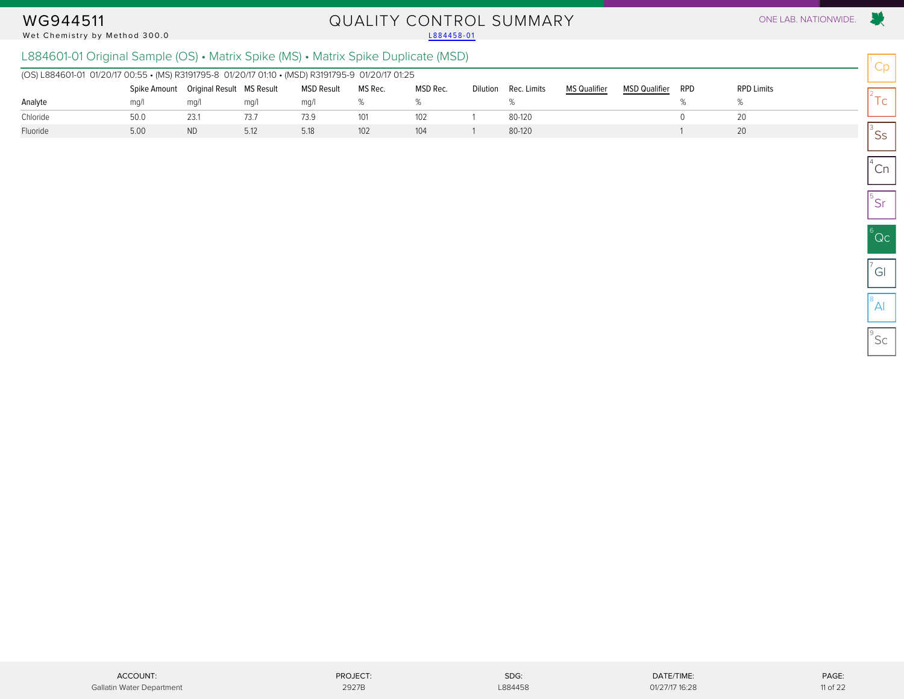#### Wet Chemistry by Method 300.0

# WG944511 QUALITY CONTROL SUMMARY ONE LAB. NATIONWIDE.<br>Wet Chemistry by Method 300.0

### L884601-01 Original Sample (OS) • Matrix Spike (MS) • Matrix Spike Duplicate (MSD)

| (OS) L884601-01 01/20/17 00:55 • (MS) R3191795-8 01/20/17 01:10 • (MSD) R3191795-9 01/20/17 01:25 |              |                           |      |                   |         |          |                      |                     |                      |            |                   |
|---------------------------------------------------------------------------------------------------|--------------|---------------------------|------|-------------------|---------|----------|----------------------|---------------------|----------------------|------------|-------------------|
|                                                                                                   | Spike Amount | Original Result MS Result |      | <b>MSD Result</b> | MS Rec. | MSD Rec. | Dilution Rec. Limits | <b>MS Qualifier</b> | <b>MSD Qualifier</b> | <b>RPD</b> | <b>RPD Limits</b> |
| Analyte                                                                                           | ma/1         | mg/                       | ma/l | ma/l              |         |          |                      |                     |                      |            |                   |
| Chloride                                                                                          | 50.0         | 23.1                      | 73.7 | 73.9              | 101     | 102      | 80-120               |                     |                      |            |                   |
| Fluoride                                                                                          | 5.00         | <b>ND</b>                 | 5.12 | 5.18              | 102     | 104      | 80-120               |                     |                      |            |                   |

Cp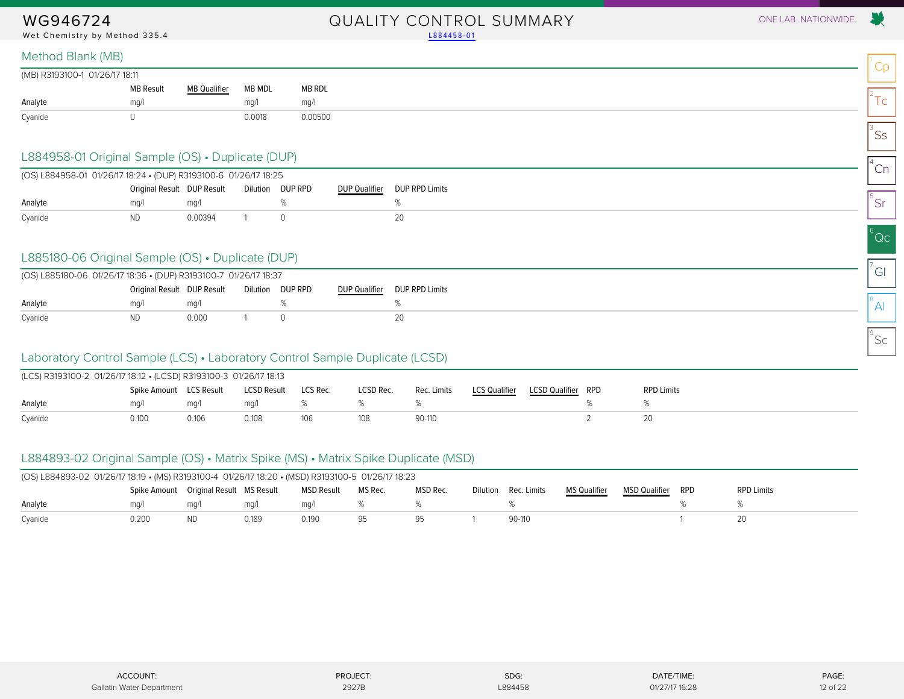Wet Chemistry by Method 335.4 [L884458-01](#page-4-1)

## WG946724 QUALITY CONTROL SUMMARY ONE LAB. NATIONWIDE.

| (MB) R3193100-1 01/26/17 18:11 |                  |                     |        |         |
|--------------------------------|------------------|---------------------|--------|---------|
|                                | <b>MB Result</b> | <b>MB Qualifier</b> | MB MDL | MB RDL  |
| Analyte                        | mq/1             |                     | ma/1   | mq/1    |
| Cyanide                        |                  |                     | 0.0018 | 0.00500 |

#### L884958-01 Original Sample (OS) • Duplicate (DUP)

<span id="page-11-0"></span>

| (OS) L884958-01 01/26/17 18:24 • (DUP) R3193100-6 01/26/17 18:25 |                            |         |          |         |                      |                       |
|------------------------------------------------------------------|----------------------------|---------|----------|---------|----------------------|-----------------------|
|                                                                  | Original Result DUP Result |         | Dilution | DUP RPD | <b>DUP Qualifier</b> | <b>DUP RPD Limits</b> |
| Analyte                                                          | ma/                        | ma/l    |          |         |                      |                       |
| Cyanide                                                          | ND.                        | 0.00394 |          |         |                      |                       |

#### L885180-06 Original Sample (OS) • Duplicate (DUP)

| (OS) L885180-06 01/26/17 18:36 • (DUP) R3193100-7 01/26/17 18:37 |                            |       |                  |                              |
|------------------------------------------------------------------|----------------------------|-------|------------------|------------------------------|
|                                                                  | Original Result DUP Result |       | Dilution DUP RPD | DUP Qualifier DUP RPD Limits |
| Analyte                                                          | ma/                        | ma/l  |                  |                              |
| Cyanide                                                          |                            | 0.000 |                  |                              |

#### Laboratory Control Sample (LCS) • Laboratory Control Sample Duplicate (LCSD)

| (LCS) R3193100-2 01/26/17 18:12 • (LCSD) R3193100-3 01/26/17 18:13 |                         |       |             |          |           |             |                      |                    |                   |
|--------------------------------------------------------------------|-------------------------|-------|-------------|----------|-----------|-------------|----------------------|--------------------|-------------------|
|                                                                    | Spike Amount LCS Result |       | LCSD Result | LCS Rec. | LCSD Rec. | Rec. Limits | <b>LCS Qualifier</b> | LCSD Qualifier RPD | <b>RPD Limits</b> |
| Analyte                                                            | ma/l                    | ma/l  | ma/l        |          |           |             |                      |                    |                   |
| Cyanide                                                            | 0.100                   | 0.106 | 0.108       | 106      |           | 90-110      |                      |                    |                   |

#### L884893-02 Original Sample (OS) • Matrix Spike (MS) • Matrix Spike Duplicate (MSD)

| (OS) L884893-02 01/26/17 18:19 • (MS) R3193100-4 01/26/17 18:20 • (MSD) R3193100-5 01/26/17 18:23 |                                          |           |       |            |         |          |          |             |                     |                      |     |                   |
|---------------------------------------------------------------------------------------------------|------------------------------------------|-----------|-------|------------|---------|----------|----------|-------------|---------------------|----------------------|-----|-------------------|
|                                                                                                   | Spike Amount  Original Result  MS Result |           |       | MSD Result | MS Rec. | MSD Rec. | Dilution | Rec. Limits | <b>MS Qualifier</b> | <b>MSD Qualifier</b> | RPD | <b>RPD Limits</b> |
| Analyte                                                                                           | ma/l                                     | ma/l      | ma/l  | ma/l       |         |          |          |             |                     |                      |     |                   |
| Cyanide                                                                                           | 0.200                                    | <b>ND</b> | 0.189 | 0.190      |         |          |          | $90-110$    |                     |                      |     |                   |

| ACCOUNT:                  | PROJECT: | SDG:    | DATE/TIME:     | PAGE:    |
|---------------------------|----------|---------|----------------|----------|
| Gallatin Water Department | 2927E    | L884458 | 01/27/17 16:28 | 12 of 22 |

01/27/17 16:28

Cp

 $2^2$ Tc

 $\mathsf{^{3}SS}$ 

 $^{4}$ Cn

5 Sr

 $^6$ Qc

 $\sigma$ <sup>7</sup>Gl

 $^8$ Al

 $^{\circ}$ Sc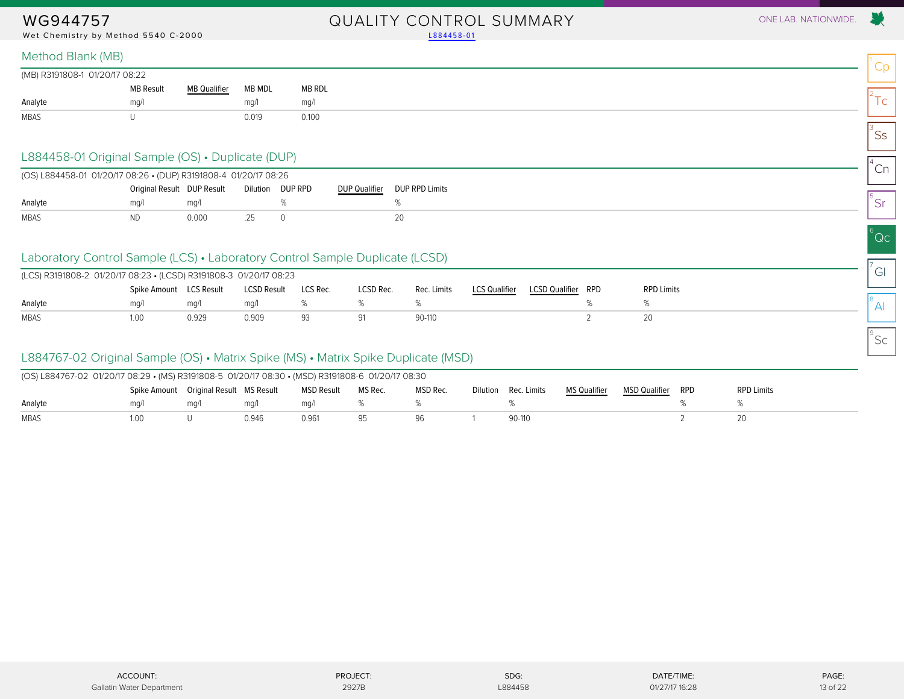Wet Chemistry by Method 5540 C-2000 [L884458-01](#page-4-1)

## WG944757 QUALITY CONTROL SUMMARY ONE LAB. NATIONWIDE.

Cp

 $2^2$ Tc

 $\mathsf{^{3}SS}$ 

 $^{4}$ Cn

5 Sr

 $^6$ Qc

 $\sigma$ <sup>7</sup>Gl

 $^8$ Al

 $^{\circ}$ Sc

#### Method Blank (MB)

| (MB) R3191808-1 01/20/17 08:22 |                  |                                                               |        |        |
|--------------------------------|------------------|---------------------------------------------------------------|--------|--------|
|                                | <b>MB Result</b> | <b>MB Qualifier</b><br>the control of the control of the con- | MB MDL | MB RDL |
| Analyte                        | ma/              |                                                               | mq/    | mq/1   |
| MBAS                           |                  |                                                               | 0.019  | 0.100  |

#### L884458-01 Original Sample (OS) • Duplicate (DUP)

<span id="page-12-0"></span>

| (OS) L884458-01 01/20/17 08:26 • (DUP) R3191808-4 01/20/17 08:26 |                            |       |                  |               |                |
|------------------------------------------------------------------|----------------------------|-------|------------------|---------------|----------------|
|                                                                  | Original Result DUP Result |       | Dilution DUP RPD | DUP Qualifier | DUP RPD Limits |
| Analyte                                                          | ma/                        | ma/l  |                  |               |                |
| <b>MBAS</b>                                                      | <b>ND</b>                  | 0.000 |                  |               |                |

### Laboratory Control Sample (LCS) • Laboratory Control Sample Duplicate (LCSD)

| (LCS) R3191808-2 01/20/17 08:23 • (LCSD) R3191808-3 01/20/17 08:23 |                         |       |                    |          |           |             |               |                       |     |                   |
|--------------------------------------------------------------------|-------------------------|-------|--------------------|----------|-----------|-------------|---------------|-----------------------|-----|-------------------|
|                                                                    | Spike Amount LCS Result |       | <b>LCSD Result</b> | LCS Rec. | LCSD Rec. | Rec. Limits | LCS Qualifier | <b>LCSD Qualifier</b> | RPD | <b>RPD Limits</b> |
| Analyte                                                            | ma/l                    | ma/   | ma/                |          |           |             |               |                       |     |                   |
| MBAS                                                               | 1.00                    | 0.929 | 0.909              | 93       |           | 90-110      |               |                       |     |                   |

#### L884767-02 Original Sample (OS) • Matrix Spike (MS) • Matrix Spike Duplicate (MSD)

| (OS) L884767-02 01/20/17 08:29 • (MS) R3191808-5 01/20/17 08:30 • (MSD) R3191808-6 01/20/17 08:30 |                                        |      |       |            |         |          |          |             |                     |               |     |                   |
|---------------------------------------------------------------------------------------------------|----------------------------------------|------|-------|------------|---------|----------|----------|-------------|---------------------|---------------|-----|-------------------|
|                                                                                                   | Spike Amount Original Result MS Result |      |       | MSD Result | MS Rec. | MSD Rec. | Dilution | Rec. Limits | <b>MS Qualifier</b> | MSD Qualifier | RPD | <b>RPD Limits</b> |
| Analyte                                                                                           | ma/1                                   | ma/l | ma/l  | ma/        |         |          |          |             |                     |               |     |                   |
| MBAS                                                                                              | LOO                                    |      | 0.946 | 0.961      |         |          |          | 90-110      |                     |               |     |                   |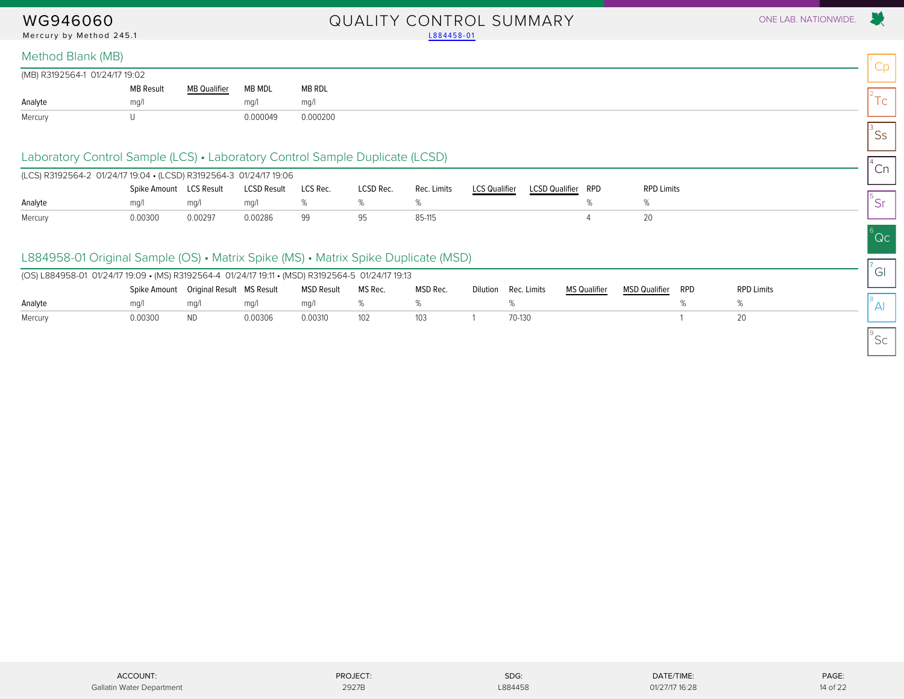#### WG946060 QUALITY CONTROL SUMMARY ONE LAB. NATIONWIDE. Mercury by Method 245.1 and the control of the control of the control of the control of the control of the control of the control of the control of the control of the control of the control of the control of the control of

#### Method Blank (MB)

| (MB) R3192564-1 01/24/17 19:02 |                  |                                 |          |          |
|--------------------------------|------------------|---------------------------------|----------|----------|
|                                | <b>MB Result</b> | <b>MB Qualifier</b><br>$\cdots$ | MB MDL   | MB RDL   |
| Analyte                        | ma/l             |                                 | ma/      | ma/l     |
| Mercury                        |                  |                                 | 0.000049 | 0.000200 |

#### Laboratory Control Sample (LCS) • Laboratory Control Sample Duplicate (LCSD)

<span id="page-13-0"></span>

| (LCS) R3192564-2 01/24/17 19:04 • (LCSD) R3192564-3 01/24/17 19:06 |                         |         |                    |          |           |             |                      |                       |     |                   |
|--------------------------------------------------------------------|-------------------------|---------|--------------------|----------|-----------|-------------|----------------------|-----------------------|-----|-------------------|
|                                                                    | Spike Amount LCS Result |         | <b>LCSD Result</b> | LCS Rec. | LCSD Rec. | Rec. Limits | <b>LCS Qualifier</b> | <b>LCSD Qualifier</b> | RPD | <b>RPD Limits</b> |
| Analyte                                                            | ma/                     | ma/l    | ma/l               |          |           |             |                      |                       |     |                   |
| Mercury                                                            | 0.00300                 | 0.00297 | 0.00286            | 99       |           | 85-115      |                      |                       |     |                   |

#### L884958-01 Original Sample (OS) • Matrix Spike (MS) • Matrix Spike Duplicate (MSD)

| (OS) L884958-01 01/24/17 19:09 • (MS) R3192564-4 01/24/17 19:11 • (MSD) R3192564-5 01/24/17 19:13 |         |                                          |         |            |         |          |                      |              |               |     |                   |
|---------------------------------------------------------------------------------------------------|---------|------------------------------------------|---------|------------|---------|----------|----------------------|--------------|---------------|-----|-------------------|
|                                                                                                   |         | Spike Amount  Original Result  MS Result |         | MSD Result | MS Rec. | MSD Rec. | Dilution Rec. Limits | MS Qualifier | MSD Qualifier | RPD | <b>RPD Limits</b> |
| Analyte                                                                                           | ma/1    | ma/                                      | ma/l    | ma/l       |         |          |                      |              |               |     |                   |
| Mercury                                                                                           | 0.00300 | ND.                                      | 0.00306 | 0.00310    | 102     | 103      | 70-130               |              |               |     |                   |

 $^{\circ}$ Sc

Cp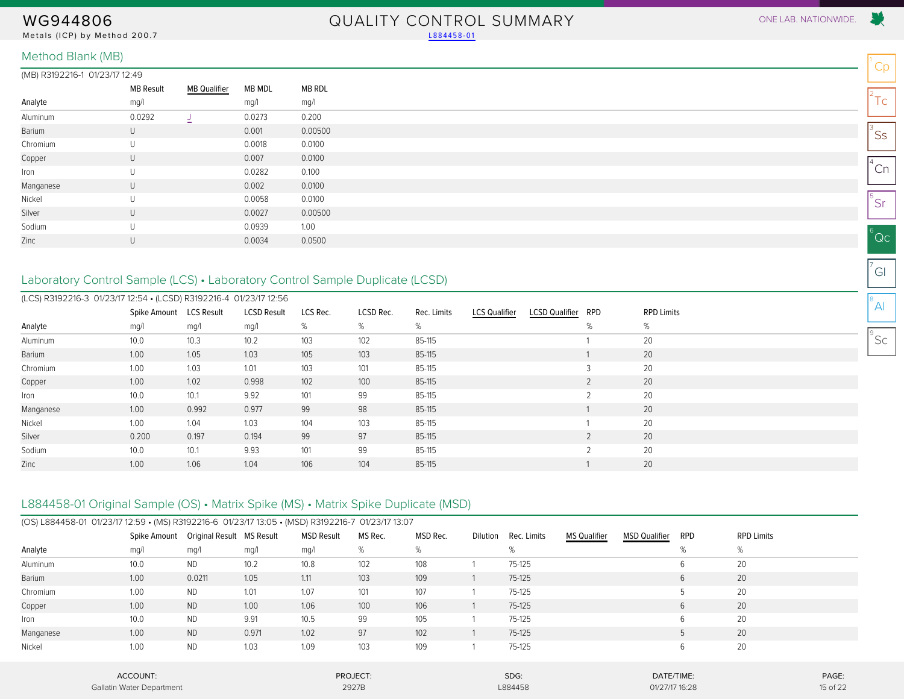Metals (ICP) by Method 200.7 [L884458-01](#page-4-1)

## WG944806 QUALITY CONTROL SUMMARY ONE LAB. NATIONWIDE.

#### Method Blank (MB)

#### (MB) R3192216-1 01/23/17 12:49

|           | MB Result | <b>MB Qualifier</b> | MB MDL | MB RDL  |
|-----------|-----------|---------------------|--------|---------|
| Analyte   | mg/l      |                     | mg/l   | mg/l    |
| Aluminum  | 0.0292    | J                   | 0.0273 | 0.200   |
| Barium    | U         |                     | 0.001  | 0.00500 |
| Chromium  | U         |                     | 0.0018 | 0.0100  |
| Copper    | U         |                     | 0.007  | 0.0100  |
| Iron      | U         |                     | 0.0282 | 0.100   |
| Manganese | U         |                     | 0.002  | 0.0100  |
| Nickel    | U         |                     | 0.0058 | 0.0100  |
| Silver    | U         |                     | 0.0027 | 0.00500 |
| Sodium    | U         |                     | 0.0939 | 1.00    |
| Zinc      | U         |                     | 0.0034 | 0.0500  |
|           |           |                     |        |         |

### <span id="page-14-0"></span>Laboratory Control Sample (LCS) • Laboratory Control Sample Duplicate (LCSD)

| (LCS) R3192216-3 01/23/17 12:54 • (LCSD) R3192216-4 01/23/17 12:56 |                         |       |                    |          |           |             |                      |                       |     |                   |
|--------------------------------------------------------------------|-------------------------|-------|--------------------|----------|-----------|-------------|----------------------|-----------------------|-----|-------------------|
|                                                                    | Spike Amount LCS Result |       | <b>LCSD Result</b> | LCS Rec. | LCSD Rec. | Rec. Limits | <b>LCS Qualifier</b> | <b>LCSD Qualifier</b> | RPD | <b>RPD Limits</b> |
| Analyte                                                            | mg/l                    | mg/l  | mg/l               | %        | %         | %           |                      |                       | %   | %                 |
| Aluminum                                                           | 10.0                    | 10.3  | 10.2               | 103      | 102       | 85-115      |                      |                       |     | 20                |
| Barium                                                             | 1.00                    | 1.05  | 1.03               | 105      | 103       | 85-115      |                      |                       |     | 20                |
| Chromium                                                           | 1.00                    | 1.03  | 1.01               | 103      | 101       | 85-115      |                      |                       |     | 20                |
| Copper                                                             | 1.00                    | 1.02  | 0.998              | 102      | 100       | 85-115      |                      |                       |     | 20                |
| Iron                                                               | 10.0                    | 10.1  | 9.92               | 101      | 99        | 85-115      |                      |                       |     | 20                |
| Manganese                                                          | 1.00                    | 0.992 | 0.977              | 99       | 98        | 85-115      |                      |                       |     | 20                |
| Nickel                                                             | 1.00                    | 1.04  | 1.03               | 104      | 103       | 85-115      |                      |                       |     | 20                |
| Silver                                                             | 0.200                   | 0.197 | 0.194              | 99       | 97        | 85-115      |                      |                       |     | 20                |
| Sodium                                                             | 10.0                    | 10.1  | 9.93               | 101      | 99        | 85-115      |                      |                       | C.  | 20                |
| Zinc                                                               | 1.00                    | 1.06  | 1.04               | 106      | 104       | 85-115      |                      |                       |     | 20                |

#### L884458-01 Original Sample (OS) • Matrix Spike (MS) • Matrix Spike Duplicate (MSD)

|               | (OS) L884458-01 01/23/17 12:59 • (MS) R3192216-6 01/23/17 13:05 • (MSD) R3192216-7 01/23/17 13:07 |                           |       |                   |          |          |          |             |                     |                      |            |                   |          |
|---------------|---------------------------------------------------------------------------------------------------|---------------------------|-------|-------------------|----------|----------|----------|-------------|---------------------|----------------------|------------|-------------------|----------|
|               | Spike Amount                                                                                      | Original Result MS Result |       | <b>MSD Result</b> | MS Rec.  | MSD Rec. | Dilution | Rec. Limits | <b>MS Qualifier</b> | <b>MSD Qualifier</b> | <b>RPD</b> | <b>RPD Limits</b> |          |
| Analyte       | mg/l                                                                                              | mg/l                      | mg/l  | mg/l              | %        | %        |          | %           |                     |                      | %          | %                 |          |
| Aluminum      | 10.0                                                                                              | <b>ND</b>                 | 10.2  | 10.8              | 102      | 108      |          | 75-125      |                     |                      | 6          | 20                |          |
| <b>Barium</b> | 1.00                                                                                              | 0.0211                    | 1.05  | 1.11              | 103      | 109      |          | 75-125      |                     |                      | 6          | 20                |          |
| Chromium      | 1.00                                                                                              | <b>ND</b>                 | 1.01  | 1.07              | 101      | 107      |          | 75-125      |                     |                      |            | 20                |          |
| Copper        | 1.00                                                                                              | <b>ND</b>                 | 1.00  | 1.06              | 100      | 106      |          | $75-125$    |                     |                      | 6          | 20                |          |
| Iron          | 10.0                                                                                              | <b>ND</b>                 | 9.91  | 10.5              | 99       | 105      |          | 75-125      |                     |                      | 6          | 20                |          |
| Manganese     | 1.00                                                                                              | <b>ND</b>                 | 0.971 | 1.02              | 97       | 102      |          | $75-125$    |                     |                      |            | 20                |          |
| Nickel        | 1.00                                                                                              | <b>ND</b>                 | 1.03  | 1.09              | 103      | 109      |          | 75-125      |                     |                      | 6          | 20                |          |
|               | ACCOUNT:                                                                                          |                           |       |                   | PROJECT: |          |          | SDG:        |                     | DATE/TIME:           |            |                   | PAGE:    |
|               | Gallatin Water Department                                                                         |                           |       |                   | 2927B    |          |          | L884458     |                     | 01/27/17 16:28       |            |                   | 15 of 22 |

Cp

 $2^2$ Tc

 $\mathsf{^{3}SS}$ 

 $^{4}$ Cn

5 Sr

 $^6$ Qc

 $\sigma$ <sup>7</sup>Gl

 $^8$ Al

 $^{\circ}$ Sc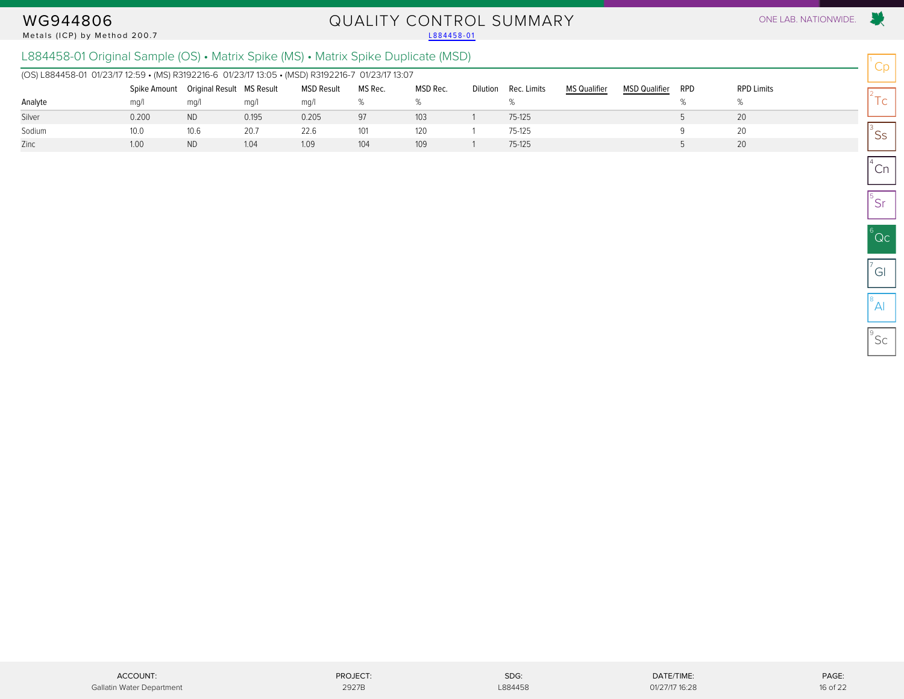#### Metals (ICP) by Method 200.7

# WG944806 QUALITY CONTROL SUMMARY ONE LAB. NATIONWIDE.<br>Metals (ICP) by Method 200.7 L884458-01

### L884458-01 Original Sample (OS) • Matrix Spike (MS) • Matrix Spike Duplicate (MSD)

| (OS) L884458-01 01/23/17 12:59 • (MS) R3192216-6 01/23/17 13:05 • (MSD) R3192216-7 01/23/17 13:07 |       |                                        |       |                   |         |          |                 |             |                     |                      |     |                   |
|---------------------------------------------------------------------------------------------------|-------|----------------------------------------|-------|-------------------|---------|----------|-----------------|-------------|---------------------|----------------------|-----|-------------------|
|                                                                                                   |       | Spike Amount Original Result MS Result |       | <b>MSD Result</b> | MS Rec. | MSD Rec. | <b>Dilution</b> | Rec. Limits | <b>MS Qualifier</b> | <b>MSD Qualifier</b> | RPD | <b>RPD Limits</b> |
| Analyte                                                                                           | ma/l  | mq/                                    | mq/l  | ma/l              |         |          |                 |             |                     |                      |     |                   |
| Silver                                                                                            | 0.200 | <b>ND</b>                              | 0.195 | 0.205             | 97      | 103      |                 | 75-125      |                     |                      |     | 20                |
| Sodium                                                                                            | 10.0  | 10.6                                   | 20.7  | 22.6              | 101     | 120      |                 | 75-125      |                     |                      |     | 20                |
| Zinc                                                                                              | 1.00  | <b>ND</b>                              | 1.04  | 1.09              | 104     | 109      |                 | 75-125      |                     |                      |     | 20                |

Cp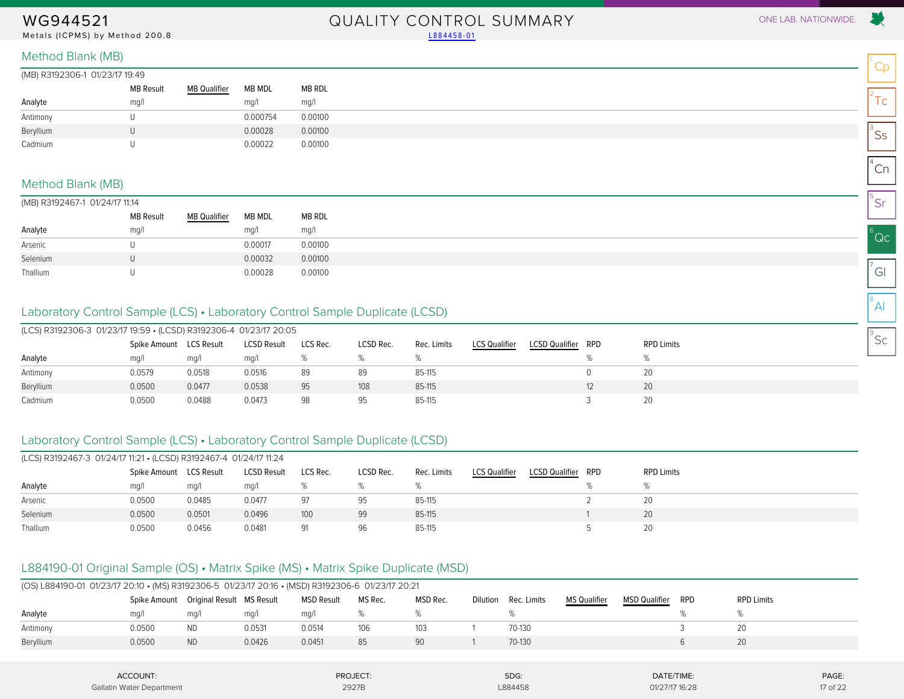Metals (ICPMS) by Method 200.8 Laterature and the control of the control of the control of the control of the control of the control of the control of the control of the control of the control of the control of the control

# WG944521 QUALITY CONTROL SUMMARY ONE LAB. NATIONWIDE.

| (MB) R3192306-1 01/23/17 19:49 |                  |              |          |         |
|--------------------------------|------------------|--------------|----------|---------|
|                                | <b>MB Result</b> | MB Qualifier | MB MDL   | MB RDL  |
| Analyte                        | mq/1             |              | mq/l     | mg/l    |
| Antimony                       |                  |              | 0.000754 | 0.00100 |
| Beryllium                      |                  |              | 0.00028  | 0.00100 |
| Cadmium                        |                  |              | 0.00022  | 0.00100 |

#### Method Blank (MB)

| (MB) R3192467-1 01/24/17 11:14 |  |
|--------------------------------|--|
|                                |  |

<span id="page-16-0"></span>

| $\frac{1}{2}$ . $\frac{1}{2}$ . $\frac{1}{2}$ . $\frac{1}{2}$ . $\frac{1}{2}$ . $\frac{1}{2}$ . $\frac{1}{2}$ . $\frac{1}{2}$ . $\frac{1}{2}$ . $\frac{1}{2}$ |                  |                     |         |         |
|---------------------------------------------------------------------------------------------------------------------------------------------------------------|------------------|---------------------|---------|---------|
|                                                                                                                                                               | <b>MB Result</b> | <b>MB Qualifier</b> | MB MDL  | MB RDL  |
| Analyte                                                                                                                                                       | mq/1             |                     | mq/l    | mg/l    |
| Arsenic                                                                                                                                                       |                  |                     | 0.00017 | 0.00100 |
| Selenium                                                                                                                                                      |                  |                     | 0.00032 | 0.00100 |
| Thallium                                                                                                                                                      |                  |                     | 0.00028 | 0.00100 |

### Laboratory Control Sample (LCS) • Laboratory Control Sample Duplicate (LCSD)

| (LCS) R3192306-3 01/23/17 19:59 • (LCSD) R3192306-4 01/23/17 20:05 |              |                   |                    |          |           |             |                      |                           |                   |
|--------------------------------------------------------------------|--------------|-------------------|--------------------|----------|-----------|-------------|----------------------|---------------------------|-------------------|
|                                                                    | Spike Amount | <b>LCS Result</b> | <b>LCSD Result</b> | LCS Rec. | LCSD Rec. | Rec. Limits | <b>LCS Qualifier</b> | <b>LCSD Qualifier RPD</b> | <b>RPD Limits</b> |
| Analyte                                                            | mq/1         | ma/l              | mq/1               |          |           |             |                      |                           |                   |
| Antimony                                                           | 0.0579       | 0.0518            | 0.0516             | 89       | 89        | 85-115      |                      |                           | 20                |
| Beryllium                                                          | 0.0500       | 0.0477            | 0.0538             | 95       | 108       | 85-115      |                      |                           | 20                |
| Cadmium                                                            | 0.0500       | 0.0488            | 0.0473             | 98       | 95        | 85-115      |                      |                           | 20                |

#### Laboratory Control Sample (LCS) • Laboratory Control Sample Duplicate (LCSD)

| (LCS) R3192467-3 01/24/17 11:21 • (LCSD) R3192467-4 01/24/17 11:24 |                         |        |                    |          |           |             |                      |                       |     |                   |
|--------------------------------------------------------------------|-------------------------|--------|--------------------|----------|-----------|-------------|----------------------|-----------------------|-----|-------------------|
|                                                                    | Spike Amount LCS Result |        | <b>LCSD Result</b> | LCS Rec. | LCSD Rec. | Rec. Limits | <b>LCS Qualifier</b> | <b>LCSD Qualifier</b> | RPD | <b>RPD Limits</b> |
| Analyte                                                            | mq/l                    | mq/l   | mq/                |          |           |             |                      |                       |     |                   |
| Arsenic                                                            | 0.0500                  | 0.0485 | 0.0477             | 97       | 95        | 85-115      |                      |                       |     | 20                |
| Selenium                                                           | 0.0500                  | 0.0501 | 0.0496             | 100      | 99        | 85-115      |                      |                       |     | 20                |
| Thallium                                                           | 0.0500                  | 0.0456 | 0.0481             | 91       | 96        | 85-115      |                      |                       |     | 20                |

### L884190-01 Original Sample (OS) • Matrix Spike (MS) • Matrix Spike Duplicate (MSD)

|           | (OS) L884190-01 01/23/17 20:10 • (MS) R3192306-5 01/23/17 20:16 • (MSD) R3192306-6 01/23/17 20:21 |                                        |        |            |         |          |          |             |              |                      |            |                   |  |  |
|-----------|---------------------------------------------------------------------------------------------------|----------------------------------------|--------|------------|---------|----------|----------|-------------|--------------|----------------------|------------|-------------------|--|--|
|           |                                                                                                   | Spike Amount Original Result MS Result |        | MSD Result | MS Rec. | MSD Rec. | Dilution | Rec. Limits | MS Qualifier | <b>MSD Qualifier</b> | <b>RPD</b> | <b>RPD Limits</b> |  |  |
| Analyte   | ma/1                                                                                              | ma/l                                   | mq/    | ma/1       |         |          |          |             |              |                      |            |                   |  |  |
| Antimony  | 0.0500                                                                                            | ND.                                    | 0.0531 | 0.0514     | 106     | 103      |          | 70-130      |              |                      |            |                   |  |  |
| Beryllium | 0.0500                                                                                            | <b>ND</b>                              | 0.0426 | 0.0451     | 85      | 90       |          | 70-130      |              |                      |            | 20                |  |  |
|           |                                                                                                   |                                        |        |            |         |          |          |             |              |                      |            |                   |  |  |

| ACCOUNT:                  | PROJECT:                                     | SDG:    | DATE/TIME:     | PAGE:    |
|---------------------------|----------------------------------------------|---------|----------------|----------|
| Gallatin Water Department | 2927B<br>the contract of the contract of the | L884458 | 01/27/17 16:28 | 17 of 22 |

Cp

 $2^2$ Tc

 $\mathsf{^{3}SS}$ 

 $^{4}$ Cn

5 Sr

 $^6$ Qc

 $\sigma$ <sup>7</sup>Gl

 $^8$ Al

 $^{\circ}$ Sc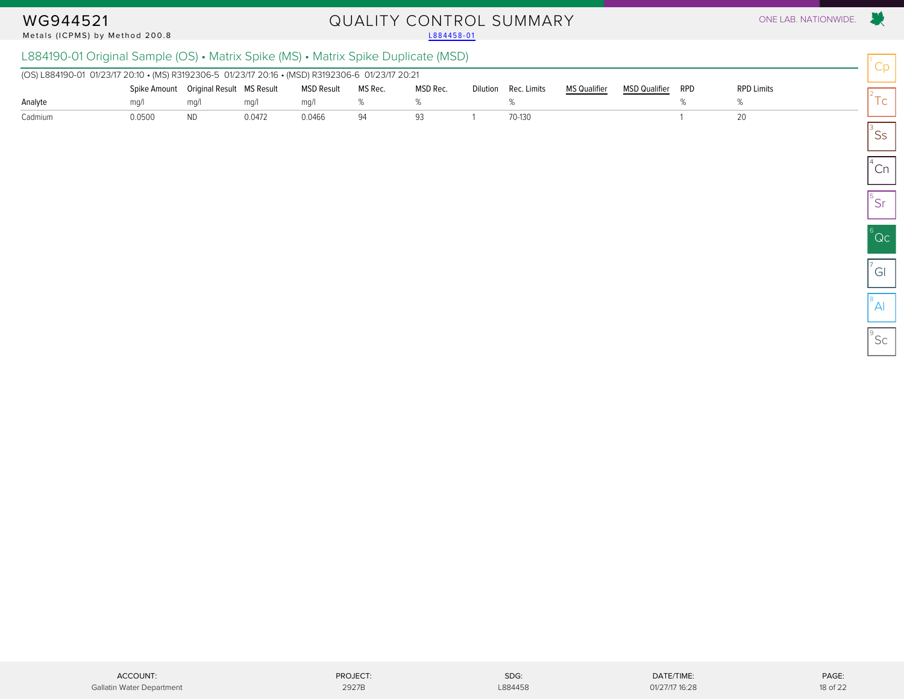#### Metals (ICPMS) by Method 200.8

# WG944521 QUALITY CONTROL SUMMARY ONE LAB. NATIONWIDE.<br>Metals (ICPMS) by Method 200.8 and the control of the control of the control of the control one lab. Nationwide

### L884190-01 Original Sample (OS) • Matrix Spike (MS) • Matrix Spike Duplicate (MSD)

| (OS) L884190-01 01/23/17 20:10 • (MS) R3192306-5 01/23/17 20:16 • (MSD) R3192306-6 01/23/17 20:21 |        |                                          |        |                   |         |          |                      |                     |                      |     |                   |
|---------------------------------------------------------------------------------------------------|--------|------------------------------------------|--------|-------------------|---------|----------|----------------------|---------------------|----------------------|-----|-------------------|
|                                                                                                   |        | Spike Amount  Original Result  MS Result |        | <b>MSD Result</b> | MS Rec. | MSD Rec. | Dilution Rec. Limits | <b>MS Qualifier</b> | <b>MSD Qualifier</b> | RPD | <b>RPD Limits</b> |
| Analyte                                                                                           | ma/1   | ma/                                      | ma/    | ma/l              |         |          |                      |                     |                      |     |                   |
| Cadmium                                                                                           | 0.0500 | ND                                       | 0.0472 | 0.0466            | 94      |          | 70-130               |                     |                      |     |                   |

X.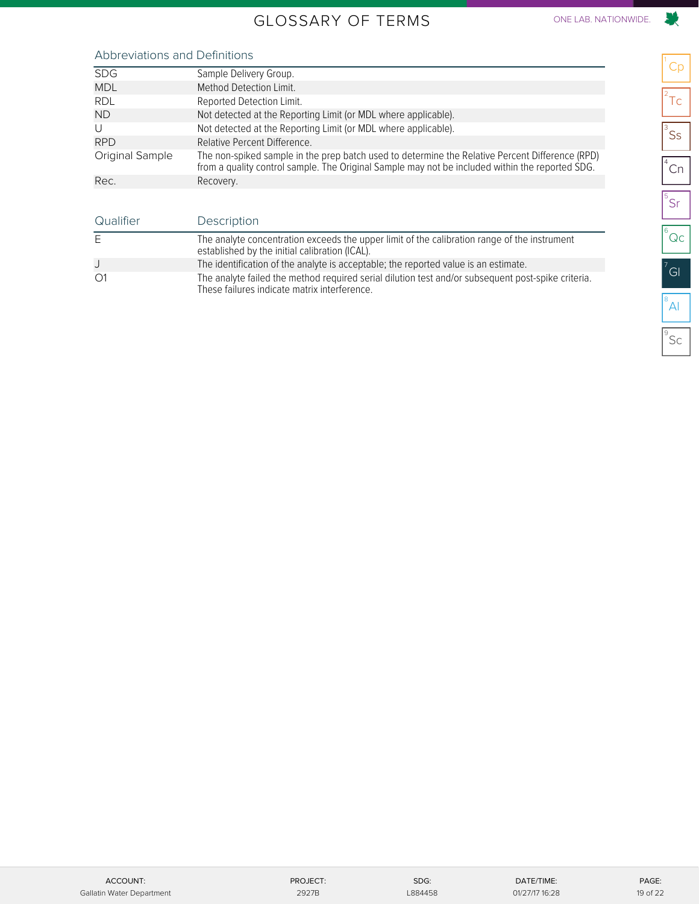### GLOSSARY OF TERMS ONE LAB. NATIONWIDE.

## 

<span id="page-18-0"></span>

| <b>SDG</b>      | Sample Delivery Group.                                                                                                                                                                             |
|-----------------|----------------------------------------------------------------------------------------------------------------------------------------------------------------------------------------------------|
| <b>MDL</b>      | Method Detection Limit.                                                                                                                                                                            |
| <b>RDL</b>      | Reported Detection Limit.                                                                                                                                                                          |
| <b>ND</b>       | Not detected at the Reporting Limit (or MDL where applicable).                                                                                                                                     |
| U               | Not detected at the Reporting Limit (or MDL where applicable).                                                                                                                                     |
| <b>RPD</b>      | Relative Percent Difference.                                                                                                                                                                       |
| Original Sample | The non-spiked sample in the prep batch used to determine the Relative Percent Difference (RPD)<br>from a quality control sample. The Original Sample may not be included within the reported SDG. |
| Rec.            | Recovery.                                                                                                                                                                                          |

| Qualifier    | Description                                                                                                                                        |
|--------------|----------------------------------------------------------------------------------------------------------------------------------------------------|
| E            | The analyte concentration exceeds the upper limit of the calibration range of the instrument<br>established by the initial calibration (ICAL).     |
|              | The identification of the analyte is acceptable; the reported value is an estimate.                                                                |
| $\bigcirc$ 1 | The analyte failed the method required serial dilution test and/or subsequent post-spike criteria.<br>These failures indicate matrix interference. |

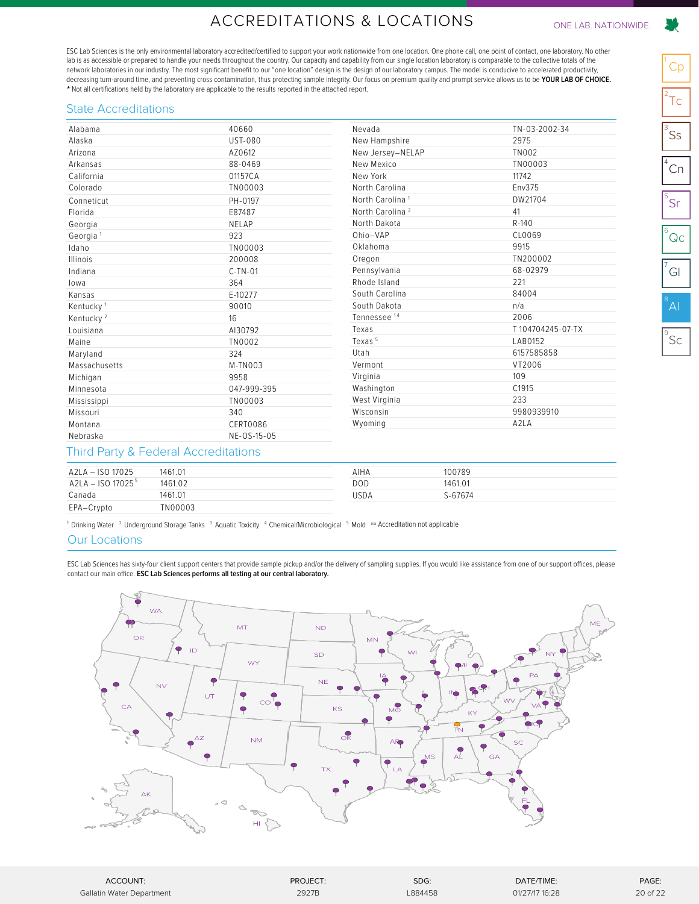## ACCREDITATIONS & LOCATIONS ONE LAB. NATIONWIDE.

<span id="page-19-0"></span>ESC Lab Sciences is the only environmental laboratory accredited/certified to support your work nationwide from one location. One phone call, one point of contact, one laboratory. No other lab is as accessible or prepared to handle your needs throughout the country. Our capacity and capability from our single location laboratory is comparable to the collective totals of the network laboratories in our industry. The most significant benefit to our "one location" design is the design of our laboratory campus. The model is conducive to accelerated productivity, decreasing turn-around time, and preventing cross contamination, thus protecting sample integrity. Our focus on premium quality and prompt service allows us to be **YOUR LAB OF CHOICE.** \* Not all certifications held by the laboratory are applicable to the results reported in the attached report.

#### State Accreditations

| Alabama               | 40660          | Nevada                      | TN-03-2002-34    |
|-----------------------|----------------|-----------------------------|------------------|
| Alaska                | <b>UST-080</b> | New Hampshire               | 2975             |
| Arizona               | AZ0612         | New Jersey-NELAP            | <b>TN002</b>     |
| Arkansas              | 88-0469        | New Mexico                  | TN00003          |
| California            | 01157CA        | New York                    | 11742            |
| Colorado              | TN00003        | North Carolina              | Env375           |
| Conneticut            | PH-0197        | North Carolina <sup>1</sup> | DW21704          |
| Florida               | E87487         | North Carolina <sup>2</sup> | 41               |
| Georgia               | NELAP          | North Dakota                | R-140            |
| Georgia <sup>1</sup>  | 923            | Ohio-VAP                    | CL0069           |
| Idaho                 | TN00003        | Oklahoma                    | 9915             |
| Illinois              | 200008         | Oregon                      | TN200002         |
| Indiana               | $C-TN-01$      | Pennsylvania                | 68-02979         |
| lowa                  | 364            | Rhode Island                | 221              |
| Kansas                | E-10277        | South Carolina              | 84004            |
| Kentucky <sup>1</sup> | 90010          | South Dakota                | n/a              |
| Kentucky <sup>2</sup> | 16             | Tennessee <sup>14</sup>     | 2006             |
| Louisiana             | AI30792        | Texas                       | T104704245-07-TX |
| Maine                 | TN0002         | Texas <sup>5</sup>          | LAB0152          |
| Maryland              | 324            | Utah                        | 6157585858       |
| Massachusetts         | M-TN003        | Vermont                     | VT2006           |
| Michigan              | 9958           | Virginia                    | 109              |
| Minnesota             | 047-999-395    | Washington                  | C1915            |
| Mississippi           | TN00003        | West Virginia               | 233              |
| Missouri              | 340            | Wisconsin                   | 9980939910       |
| Montana               | CERT0086       | Wyoming                     | A2LA             |
| Nebraska              | NE-OS-15-05    |                             |                  |

#### Third Party & Federal Accreditations

| A2LA - ISO 17025    | 1461.01 | AIHA | 100789  |
|---------------------|---------|------|---------|
| $A2LA - ISO 170255$ | 1461.02 | DOD  | 1461.01 |
| Canada              | 1461.01 | USDA | S-67674 |
| EPA-Crypto          | TN00003 |      |         |

<sup>1</sup>. Drinking Water <sup>2.</sup> Underground Storage Tanks  $3$  Aquatic Toxicity  $4$  Chemical/Microbiological  $5$  Mold  $\alpha$ <sup>5</sup> Accreditation not applicable

#### Our Locations

ESC Lab Sciences has sixty-four client support centers that provide sample pickup and/or the delivery of sampling supplies. If you would like assistance from one of our support offices, please contact our main office. **ESC Lab Sciences performs all testing at our central laboratory.**



| ACCOUNT:                  | PROJECT: | SDG:    | DATE/TIME:     | PAGE:    |
|---------------------------|----------|---------|----------------|----------|
| Gallatin Water Department | 2927B    | L884458 | 01/27/17 16:28 | 20 of 22 |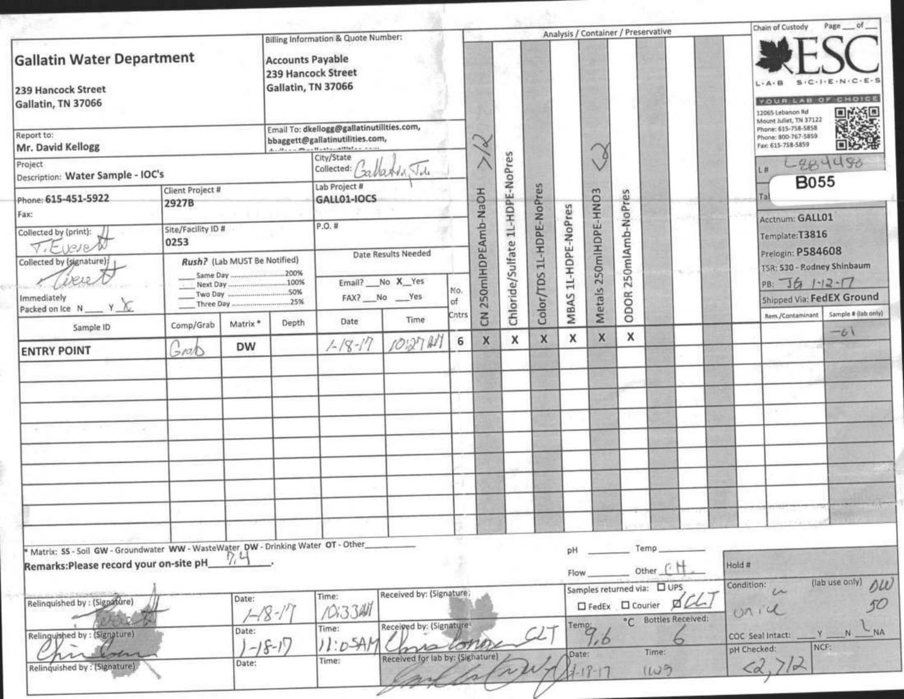|                                                                                                                             |                            |                                               |                                                                     | Billing Information & Quote Number:                                                                                      |                                                                    |       |                   |                                 |                          |                     |                       | Analysis / Container / Preservative |                                           |      |        | Chain of Custody                                                                          |                                     | of<br>Page                   |
|-----------------------------------------------------------------------------------------------------------------------------|----------------------------|-----------------------------------------------|---------------------------------------------------------------------|--------------------------------------------------------------------------------------------------------------------------|--------------------------------------------------------------------|-------|-------------------|---------------------------------|--------------------------|---------------------|-----------------------|-------------------------------------|-------------------------------------------|------|--------|-------------------------------------------------------------------------------------------|-------------------------------------|------------------------------|
| <b>Gallatin Water Department</b><br>239 Hancock Street<br>Gallatin, TN 37066                                                |                            |                                               | <b>Accounts Payable</b><br>239 Hancock Street<br>Gallatin, TN 37066 |                                                                                                                          |                                                                    |       |                   |                                 |                          |                     |                       |                                     |                                           |      |        | YOUR LAB OF CHOICE<br>12065 Lebanon Rd                                                    | $S \cdot C \cdot 1 \cdot E \cdot N$ |                              |
| Report to:<br>Mr. David Kellogg                                                                                             |                            |                                               |                                                                     | Email To: dkellogg@gallatinutilities.com,<br>bbaggett@gallatinutilities.com,<br>deaths are thought a threat that are now |                                                                    |       | $\propto$         |                                 |                          |                     |                       |                                     |                                           |      |        | Mount Juliet, TN 37122<br>Phone: 615-758-5858<br>Phone: 800-767-5859<br>Fax: 615-758-5859 |                                     |                              |
| Project<br>Description: Water Sample - IOC's                                                                                |                            |                                               |                                                                     | City/State<br>collected: Callatin Ju                                                                                     |                                                                    |       |                   |                                 |                          |                     |                       |                                     |                                           |      |        |                                                                                           | L284480                             |                              |
| Phone: 615-451-5922<br>Fax:                                                                                                 | Client Project #<br>2927B  |                                               |                                                                     | Lab Project #<br>GALL01-IOCS                                                                                             |                                                                    |       |                   |                                 |                          |                     |                       |                                     |                                           |      |        |                                                                                           | <b>B055</b>                         |                              |
| Collected by (print):<br>TiEveres                                                                                           | Site/Facility ID #<br>0253 |                                               |                                                                     | $P.O.$ #                                                                                                                 | Date Results Needed<br>Email? No X Yes<br>No.<br>FAX? No Yes<br>of |       |                   |                                 |                          |                     |                       | 250mlAmb-NoPres                     |                                           |      |        | Acctnum: GALL01<br>Template:T3816<br>Prelogin: P584608                                    |                                     |                              |
| Collected by (signature);<br>Immediately<br>Y X                                                                             |                            | Rush? (Lab MUST Be Notified)<br>Next Day 100% |                                                                     |                                                                                                                          |                                                                    |       | 250mlHDPEAmb-NaOH | Chloride/Sulfate 1L-HDPE-NoPres | Color/TDS 1L-HDPE-NoPres | MBAS 1L-HDPE-NoPres | Metals 250mlHDPE-HNO3 | ODOR                                |                                           | mar. |        | TSR: 530 - Rodney Shinbaum<br>PB: JG 1-12-17<br>Shipped Via: FedEX Ground                 |                                     |                              |
| Packed on Ice N<br>Sample ID                                                                                                | Comp/Grab                  | Matrix <sup>*</sup>                           | Depth                                                               | Date                                                                                                                     | Time                                                               | Cntrs | $\overline{5}$    |                                 |                          |                     |                       |                                     |                                           |      |        | Rem./Contaminant                                                                          |                                     | Sample # (lab only)<br>$-b1$ |
| <b>ENTRY POINT</b>                                                                                                          | 5100                       | <b>DW</b>                                     |                                                                     | $1 - 18 - 17$                                                                                                            | 1012741                                                            | 6     | X                 | X                               | X                        | x                   | X                     | x                                   |                                           |      |        |                                                                                           |                                     |                              |
|                                                                                                                             |                            |                                               |                                                                     |                                                                                                                          |                                                                    |       |                   |                                 |                          |                     |                       |                                     |                                           |      |        |                                                                                           |                                     |                              |
|                                                                                                                             |                            |                                               |                                                                     |                                                                                                                          |                                                                    |       |                   |                                 |                          |                     |                       |                                     |                                           |      |        |                                                                                           |                                     |                              |
|                                                                                                                             |                            |                                               |                                                                     |                                                                                                                          |                                                                    |       |                   |                                 |                          |                     |                       |                                     |                                           |      |        |                                                                                           |                                     |                              |
|                                                                                                                             |                            |                                               |                                                                     |                                                                                                                          |                                                                    |       |                   |                                 |                          |                     |                       |                                     |                                           |      |        |                                                                                           |                                     |                              |
|                                                                                                                             |                            |                                               |                                                                     |                                                                                                                          |                                                                    |       |                   |                                 |                          |                     |                       |                                     |                                           |      |        |                                                                                           |                                     |                              |
|                                                                                                                             |                            |                                               |                                                                     |                                                                                                                          |                                                                    |       |                   |                                 |                          |                     |                       |                                     |                                           |      |        |                                                                                           |                                     |                              |
|                                                                                                                             |                            |                                               |                                                                     |                                                                                                                          |                                                                    |       |                   |                                 |                          |                     |                       |                                     |                                           |      |        |                                                                                           |                                     |                              |
| Matrix: SS - Soil GW - Groundwater WW - WasteWater, DW - Drinking Water OT - Other<br>Remarks:Please record your on-site pH |                            |                                               |                                                                     |                                                                                                                          |                                                                    |       |                   |                                 |                          | pH<br>Flow          |                       | Temp<br>Other                       |                                           |      | Hold # |                                                                                           |                                     | $\Delta U$                   |
| Relinquished by : (Signature)                                                                                               |                            | Date:                                         |                                                                     | Time:<br>0.3341                                                                                                          | Received by: (Signature)                                           |       |                   |                                 |                          |                     |                       | $\Box$ FedEx $\Box$ Courier         | Samples returned via: 0 UPS<br>☑          |      |        | Condition:<br>$\sim$<br>0114                                                              |                                     | (lab use only)               |
| Relinquished by : (Signature)                                                                                               |                            | Date:<br>$(-18-1)$                            |                                                                     | Time:<br>$11:0-5A$                                                                                                       | Received by: (Signature)                                           |       |                   |                                 |                          | Temp:               | 10                    |                                     | <sup>o</sup> C Bottles Received:<br>Time: |      |        | COC Seal Intact:<br>pH Checked:                                                           | NCF:                                | N                            |
| the<br>Relinquished by : (Signature).                                                                                       |                            | Date:                                         |                                                                     | Time:                                                                                                                    | Received for lab by: (Sighature)                                   |       |                   |                                 |                          | Date:               | $2 - 17 - 17$         |                                     | 1109                                      |      |        | $\overline{A}$                                                                            |                                     |                              |